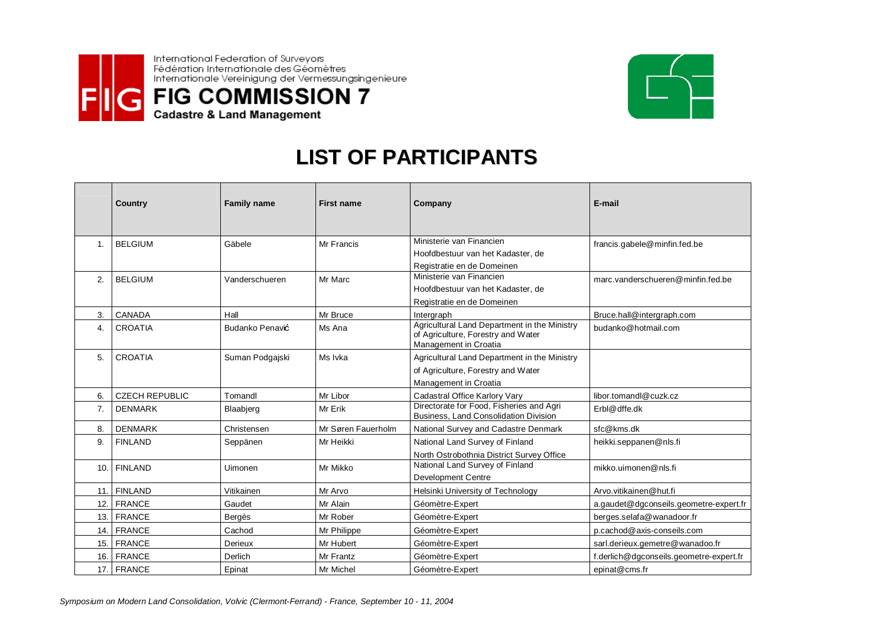



## LIST OF PARTICIPANTS

|     | Country               | <b>Family name</b> | <b>First name</b>  | Company                                                                                                     | E-mail                                  |
|-----|-----------------------|--------------------|--------------------|-------------------------------------------------------------------------------------------------------------|-----------------------------------------|
| 1.  | <b>BELGIUM</b>        | Gäbele             | Mr Francis         | Ministerie van Financien<br>Hoofdbestuur van het Kadaster, de                                               | francis.gabele@minfin.fed.be            |
|     |                       |                    |                    | Registratie en de Domeinen                                                                                  |                                         |
| 2.  | <b>BELGIUM</b>        | Vanderschueren     | Mr Marc            | Ministerie van Financien                                                                                    | marc.vanderschueren@minfin.fed.be       |
|     |                       |                    |                    | Hoofdbestuur van het Kadaster, de                                                                           |                                         |
|     |                       |                    |                    | Registratie en de Domeinen                                                                                  |                                         |
| 3.  | CANADA                | Hall               | Mr Bruce           | Intergraph                                                                                                  | Bruce.hall@intergraph.com               |
| 4.  | CROATIA               | Budanko Penavić    | Ms Ana             | Agricultural Land Department in the Ministry<br>of Agriculture, Forestry and Water<br>Management in Croatia | budanko@hotmail.com                     |
| 5.  | <b>CROATIA</b>        | Suman Podgajski    | Ms Ivka            | Agricultural Land Department in the Ministry                                                                |                                         |
|     |                       |                    |                    | of Agriculture, Forestry and Water                                                                          |                                         |
|     |                       |                    |                    | Management in Croatia                                                                                       |                                         |
| 6.  | <b>CZECH REPUBLIC</b> | Tomandl            | Mr Libor           | Cadastral Office Karlory Vary                                                                               | libor.tomandl@cuzk.cz                   |
| 7.  | <b>DENMARK</b>        | Blaabjerg          | Mr Erik            | Directorate for Food, Fisheries and Agri<br><b>Business, Land Consolidation Division</b>                    | Erbl@dffe.dk                            |
| 8.  | <b>DENMARK</b>        | Christensen        | Mr Søren Fauerholm | National Survey and Cadastre Denmark                                                                        | sfc@kms.dk                              |
| 9.  | <b>FINLAND</b>        | Seppänen           | Mr Heikki          | National Land Survey of Finland                                                                             | heikki.seppanen@nls.fi                  |
|     |                       |                    |                    | North Ostrobothnia District Survey Office                                                                   |                                         |
| 10. | <b>FINLAND</b>        | Uimonen            | Mr Mikko           | National Land Survey of Finland                                                                             | mikko.uimonen@nls.fi                    |
|     |                       |                    |                    | <b>Development Centre</b>                                                                                   |                                         |
| 11. | <b>FINLAND</b>        | Vitikainen         | Mr Arvo            | Helsinki University of Technology                                                                           | Arvo.vitikainen@hut.fi                  |
| 12. | <b>FRANCE</b>         | Gaudet             | Mr Alain           | Géomètre-Expert                                                                                             | a.gaudet@dgconseils.geometre-expert.fr  |
| 13. | <b>FRANCE</b>         | <b>Bergès</b>      | Mr Rober           | Géomètre-Expert                                                                                             | berges.selafa@wanadoor.fr               |
| 14. | <b>FRANCE</b>         | Cachod             | Mr Philippe        | Géomètre-Expert                                                                                             | p.cachod@axis-conseils.com              |
| 15. | <b>FRANCE</b>         | Derieux            | Mr Hubert          | Géomètre-Expert                                                                                             | sarl.derieux.gemetre@wanadoo.fr         |
| 16. | <b>FRANCE</b>         | Derlich            | Mr Frantz          | Géomètre-Expert                                                                                             | f.derlich@dgconseils.geometre-expert.fr |
| 17. | <b>FRANCE</b>         | Epinat             | Mr Michel          | Géomètre-Expert                                                                                             | epinat@cms.fr                           |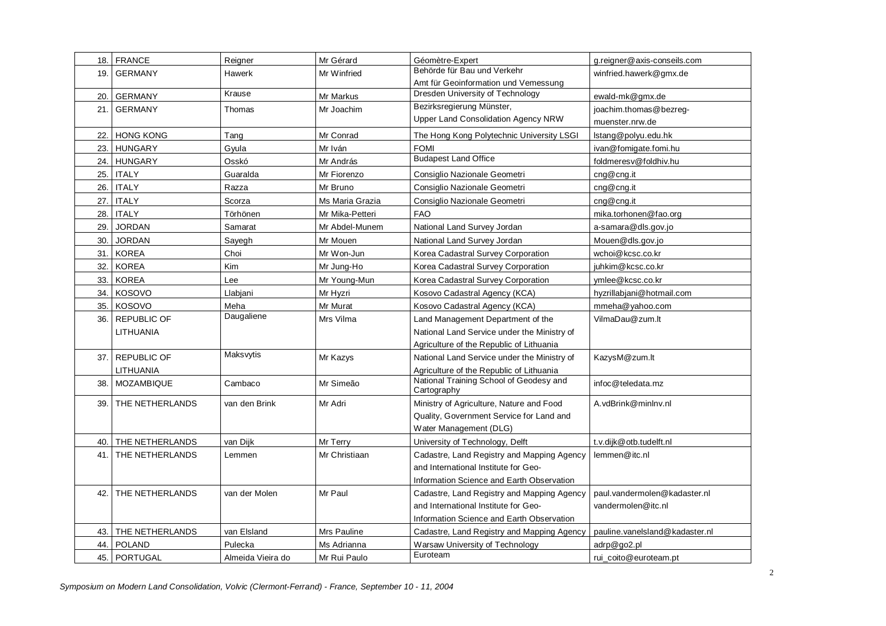| 18. | <b>FRANCE</b>       | Reigner           | Mr Gérard       | Géomètre-Expert                                        | g.reigner@axis-conseils.com    |
|-----|---------------------|-------------------|-----------------|--------------------------------------------------------|--------------------------------|
| 19. | <b>GERMANY</b>      | <b>Hawerk</b>     | Mr Winfried     | Behörde für Bau und Verkehr                            | winfried.hawerk@gmx.de         |
|     |                     |                   |                 | Amt für Geoinformation und Vemessung                   |                                |
| 20. | <b>GERMANY</b>      | Krause            | Mr Markus       | Dresden University of Technology                       | ewald-mk@gmx.de                |
| 21. | <b>GERMANY</b>      | Thomas            | Mr Joachim      | Bezirksregierung Münster,                              | joachim.thomas@bezreq-         |
|     |                     |                   |                 | Upper Land Consolidation Agency NRW                    | muenster.nrw.de                |
| 22. | <b>HONG KONG</b>    | Tang              | Mr Conrad       | The Hong Kong Polytechnic University LSGI              | lstang@polyu.edu.hk            |
| 23. | <b>HUNGARY</b>      | Gyula             | Mr Iván         | <b>FOMI</b>                                            | ivan@fomigate.fomi.hu          |
| 24. | <b>HUNGARY</b>      | Osskó             | Mr András       | <b>Budapest Land Office</b>                            | foldmeresv@foldhiv.hu          |
| 25. | <b>ITALY</b>        | Guaralda          | Mr Fiorenzo     | Consiglio Nazionale Geometri                           | cng@cng.it                     |
| 26. | <b>ITALY</b>        | Razza             | Mr Bruno        | Consiglio Nazionale Geometri                           | cnq@cnq.it                     |
| 27. | <b>ITALY</b>        | Scorza            | Ms Maria Grazia | Consiglio Nazionale Geometri                           | $\text{cng@cng.it}$            |
| 28. | <b>ITALY</b>        | Törhönen          | Mr Mika-Petteri | <b>FAO</b>                                             | mika.torhonen@fao.org          |
| 29. | <b>JORDAN</b>       | Samarat           | Mr Abdel-Munem  | National Land Survey Jordan                            | a-samara@dls.gov.jo            |
| 30. | <b>JORDAN</b>       | Sayegh            | Mr Mouen        | National Land Survey Jordan                            | Mouen@dls.gov.jo               |
| 31. | <b>KOREA</b>        | Choi              | Mr Won-Jun      | Korea Cadastral Survey Corporation                     | wchoi@kcsc.co.kr               |
| 32. | <b>KOREA</b>        | Kim               | Mr Jung-Ho      | Korea Cadastral Survey Corporation                     | iuhkim@kcsc.co.kr              |
| 33. | <b>KOREA</b>        | Lee               | Mr Young-Mun    | Korea Cadastral Survey Corporation                     | ymlee@kcsc.co.kr               |
| 34. | <b>KOSOVO</b>       | Llabjani          | Mr Hyzri        | Kosovo Cadastral Agency (KCA)                          | hyzrillabjani@hotmail.com      |
| 35. | <b>KOSOVO</b>       | Meha              | Mr Murat        | Kosovo Cadastral Agency (KCA)                          | mmeha@yahoo.com                |
| 36. | REPUBLIC OF         | Daugaliene        | Mrs Vilma       | Land Management Department of the                      | VilmaDau@zum.lt                |
|     | LITHUANIA           |                   |                 | National Land Service under the Ministry of            |                                |
|     |                     |                   |                 | Agriculture of the Republic of Lithuania               |                                |
|     | 37. REPUBLIC OF     | Maksvytis         | Mr Kazys        | National Land Service under the Ministry of            | KazysM@zum.lt                  |
|     | LITHUANIA           |                   |                 | Agriculture of the Republic of Lithuania               |                                |
| 38. | <b>MOZAMBIQUE</b>   | Cambaco           | Mr Simeão       | National Training School of Geodesy and<br>Cartography | infoc@teledata.mz              |
| 39. | THE NETHERLANDS     | van den Brink     | Mr Adri         | Ministry of Agriculture, Nature and Food               | A.vdBrink@minlnv.nl            |
|     |                     |                   |                 | Quality, Government Service for Land and               |                                |
|     |                     |                   |                 | Water Management (DLG)                                 |                                |
| 40. | THE NETHERLANDS     | van Dijk          | Mr Terry        | University of Technology, Delft                        | t.v.dijk@otb.tudelft.nl        |
| 41. | THE NETHERLANDS     | Lemmen            | Mr Christiaan   | Cadastre, Land Registry and Mapping Agency             | lemmen@itc.nl                  |
|     |                     |                   |                 | and International Institute for Geo-                   |                                |
|     |                     |                   |                 | Information Science and Earth Observation              |                                |
| 42. | THE NETHERLANDS     | van der Molen     | Mr Paul         | Cadastre, Land Registry and Mapping Agency             | paul.vandermolen@kadaster.nl   |
|     |                     |                   |                 | and International Institute for Geo-                   | vandermolen@itc.nl             |
|     |                     |                   |                 | Information Science and Earth Observation              |                                |
|     | 43. THE NETHERLANDS | van Elsland       | Mrs Pauline     | Cadastre, Land Registry and Mapping Agency             | pauline.vanelsland@kadaster.nl |
| 44. | POLAND              | Pulecka           | Ms Adrianna     | Warsaw University of Technology                        | adrp@go2.pl                    |
|     | 45. PORTUGAL        | Almeida Vieira do | Mr Rui Paulo    | Euroteam                                               | rui coito@euroteam.pt          |